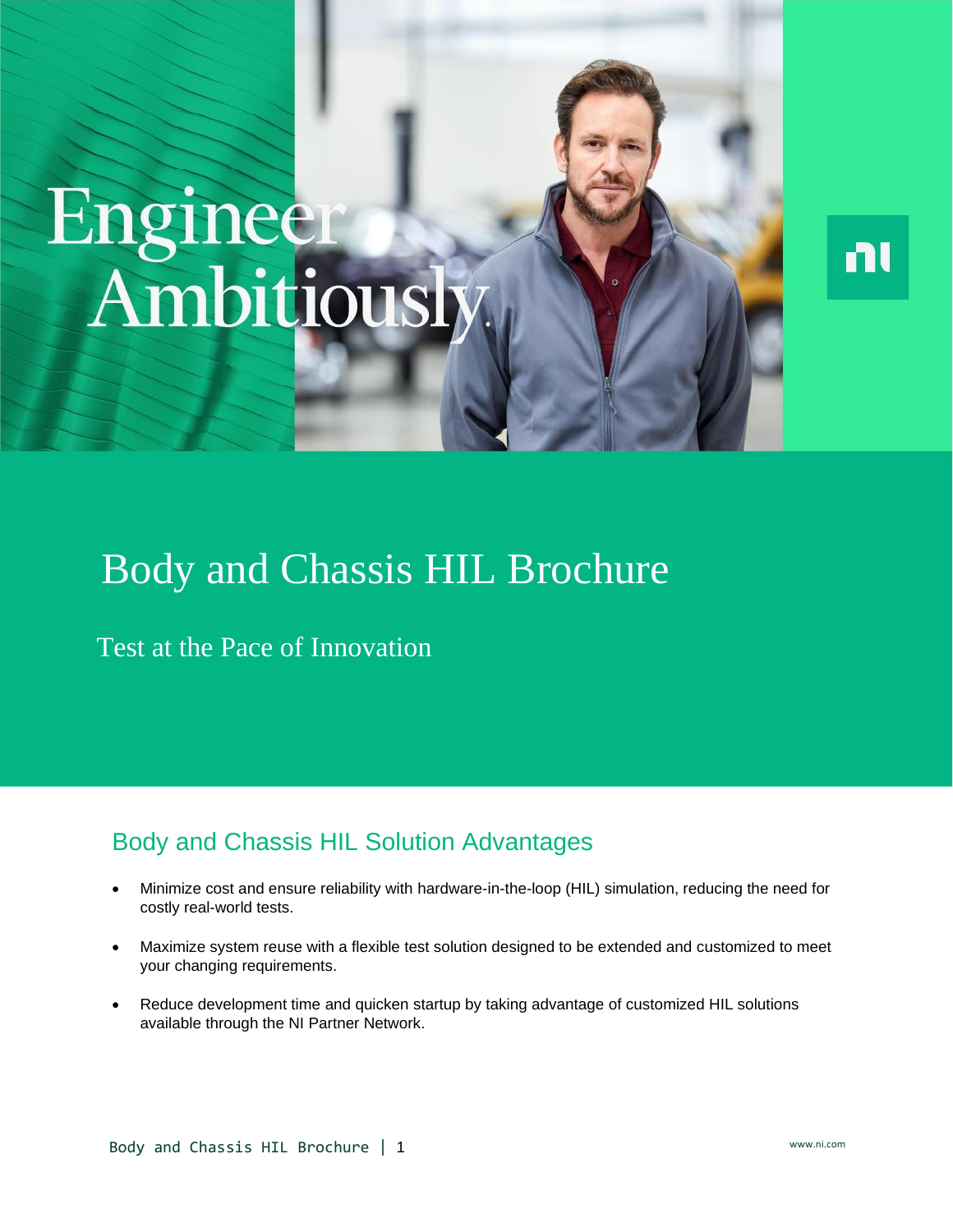# Engineer<br>Ambitiousl



# Body and Chassis HIL Brochure

Test at the Pace of Innovation

# Body and Chassis HIL Solution Advantages

- Minimize cost and ensure reliability with hardware-in-the-loop (HIL) simulation, reducing the need for costly real-world tests.
- Maximize system reuse with a flexible test solution designed to be extended and customized to meet your changing requirements.
- Reduce development time and quicken startup by taking advantage of customized HIL solutions available through the NI Partner Network.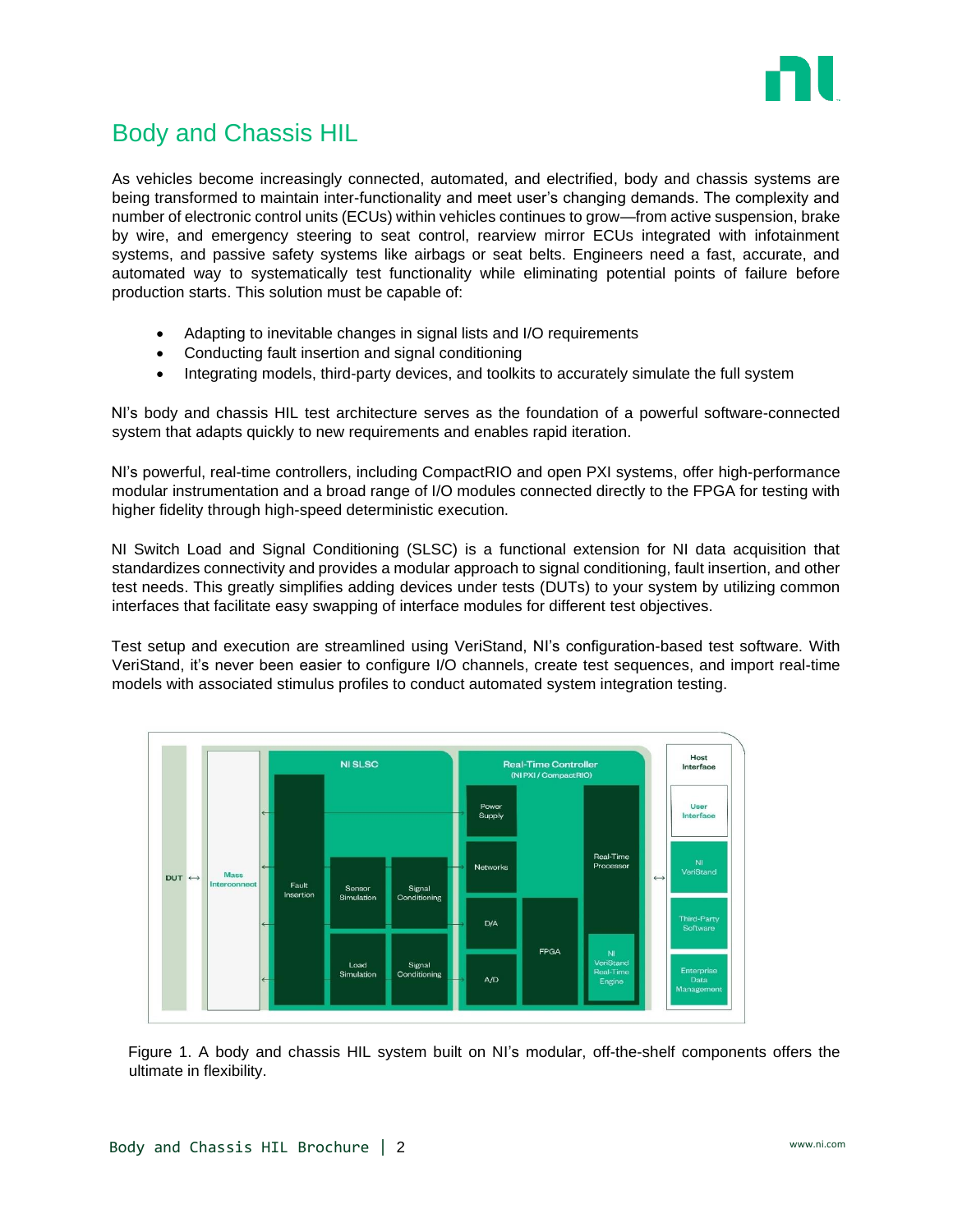

# Body and Chassis HIL

As vehicles become increasingly connected, automated, and electrified, body and chassis systems are being transformed to maintain inter-functionality and meet user's changing demands. The complexity and number of electronic control units (ECUs) within vehicles continues to grow—from active suspension, brake by wire, and emergency steering to seat control, rearview mirror ECUs integrated with infotainment systems, and passive safety systems like airbags or seat belts. Engineers need a fast, accurate, and automated way to systematically test functionality while eliminating potential points of failure before production starts. This solution must be capable of:

- Adapting to inevitable changes in signal lists and I/O requirements
- Conducting fault insertion and signal conditioning
- Integrating models, third-party devices, and toolkits to accurately simulate the full system

NI's body and chassis HIL test architecture serves as the foundation of a powerful software-connected system that adapts quickly to new requirements and enables rapid iteration.

NI's powerful, real-time controllers, including CompactRIO and open PXI systems, offer high-performance modular instrumentation and a broad range of I/O modules connected directly to the FPGA for testing with higher fidelity through high-speed deterministic execution.

NI Switch Load and Signal Conditioning (SLSC) is a functional extension for NI data acquisition that standardizes connectivity and provides a modular approach to signal conditioning, fault insertion, and other test needs. This greatly simplifies adding devices under tests (DUTs) to your system by utilizing common interfaces that facilitate easy swapping of interface modules for different test objectives.

Test setup and execution are streamlined using VeriStand, NI's configuration-based test software. With VeriStand, it's never been easier to configure I/O channels, create test sequences, and import real-time models with associated stimulus profiles to conduct automated system integration testing.



Figure 1. A body and chassis HIL system built on NI's modular, off-the-shelf components offers the ultimate in flexibility.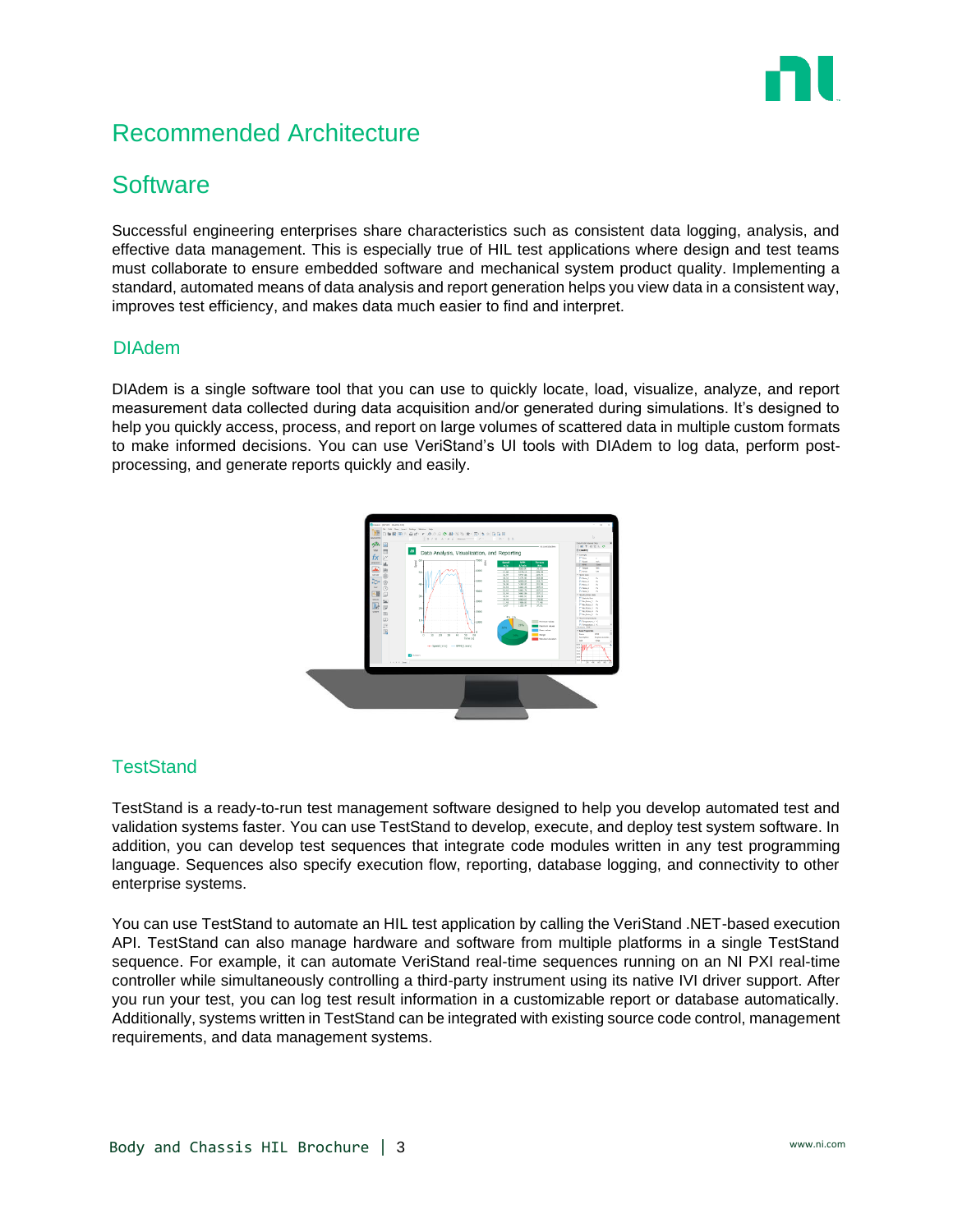

# Recommended Architecture

## **Software**

Successful engineering enterprises share characteristics such as consistent data logging, analysis, and effective data management. This is especially true of HIL test applications where design and test teams must collaborate to ensure embedded software and mechanical system product quality. Implementing a standard, automated means of data analysis and report generation helps you view data in a consistent way, improves test efficiency, and makes data much easier to find and interpret.

### DIAdem

DIAdem is a single software tool that you can use to quickly locate, load, visualize, analyze, and report measurement data collected during data acquisition and/or generated during simulations. It's designed to help you quickly access, process, and report on large volumes of scattered data in multiple custom formats to make informed decisions. You can use VeriStand's UI tools with DIAdem to log data, perform postprocessing, and generate reports quickly and easily.



### **TestStand**

TestStand is a ready-to-run test management software designed to help you develop automated test and validation systems faster. You can use TestStand to develop, execute, and deploy test system software. In addition, you can develop test sequences that integrate code modules written in any test programming language. Sequences also specify execution flow, reporting, database logging, and connectivity to other enterprise systems.

You can use TestStand to automate an HIL test application by calling the VeriStand .NET-based execution API. TestStand can also manage hardware and software from multiple platforms in a single TestStand sequence. For example, it can automate VeriStand real-time sequences running on an NI PXI real-time controller while simultaneously controlling a third-party instrument using its native IVI driver support. After you run your test, you can log test result information in a customizable report or database automatically. Additionally, systems written in TestStand can be integrated with existing source code control, management requirements, and data management systems.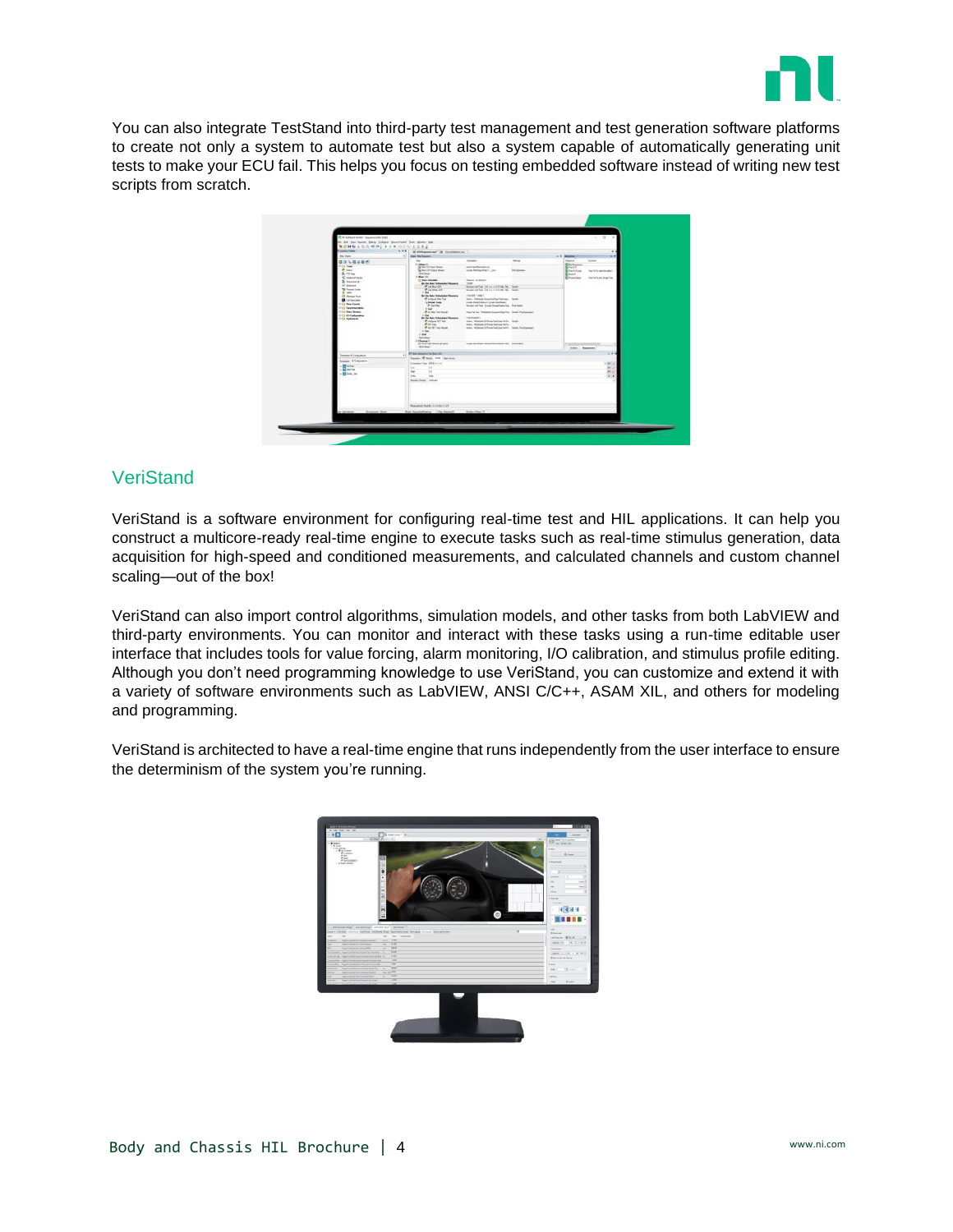

You can also integrate TestStand into third-party test management and test generation software platforms to create not only a system to automate test but also a system capable of automatically generating unit tests to make your ECU fail. This helps you focus on testing embedded software instead of writing new test scripts from scratch.

| 40 Inc later line Drive Bossford but Meter Inc.<br>医透明胶 主持合同的复数形式 化纤维反应反应<br><b><i><u>GALLY WAY</u></i></b> |                             |                                                                                                                        |                                                                                                                                                                                                                                      |                        |                                   |                          |  |
|-------------------------------------------------------------------------------------------------------------|-----------------------------|------------------------------------------------------------------------------------------------------------------------|--------------------------------------------------------------------------------------------------------------------------------------------------------------------------------------------------------------------------------------|------------------------|-----------------------------------|--------------------------|--|
|                                                                                                             | W.X.K.                      | N Phismonal M. Inchessover, 1                                                                                          |                                                                                                                                                                                                                                      |                        |                                   |                          |  |
| <b>Bay Traver</b>                                                                                           | <b>Bar Bellow Id.</b>       |                                                                                                                        |                                                                                                                                                                                                                                      |                        | c 1 league.                       |                          |  |
| 336848                                                                                                      | $^{36}$<br><b>China Chi</b> |                                                                                                                        | <b>Standards</b>                                                                                                                                                                                                                     | <b>Silver</b>          | <b>Bakers</b><br><b>Ellertown</b> | <b>TAINAIT</b>           |  |
| 113 Talk<br>di sauc                                                                                         |                             | To has not trust bring<br><b>Bridge City Status Model</b>                                                              | contractors and<br>contribution of the Contribution                                                                                                                                                                                  | <b>Pro Association</b> | <b>Remarks</b><br>Enwirtige       | The Editor and the able  |  |
| Shirts the<br><b>CARMERAN</b>                                                                               | 1. Map 10:                  | <b>Residents</b>                                                                                                       |                                                                                                                                                                                                                                      |                        | Roman<br><b>Emission</b>          | leaterland legalize.     |  |
| <b>B</b> baseare                                                                                            |                             | <b>El fine bitante</b><br><b>Bride has Situated Income</b>                                                             | <b>There is the former</b>                                                                                                                                                                                                           |                        |                                   |                          |  |
| Of Server.<br>TO Travel Links                                                                               |                             | <b>PLANE</b>                                                                                                           | <b>THEF</b><br>host of lat Disco (Fire lat.) Late<br>Newport and Lat. 2.0. p. 2.2. Milk The . Senter.                                                                                                                                |                        |                                   |                          |  |
| & Leich<br><b>CE Munical Faire</b><br><b>B</b> University<br>123 Hartmark                                   |                             | <b>STAND</b><br>Sai Nei Nei Schulcker Descores<br>A consider the Tax<br>4 lease law<br>off building                    | <b>CALLAST CARDS</b><br>him fishing fractisfightering. Text:<br>costs business provide results<br>insure cut but door fount hands and in . For inter-                                                                                |                        |                                   |                          |  |
| <b>C2 Sectionships:</b><br>G des Sous<br><b>CI O'Celuseus</b>                                               |                             | $+6a$<br>aft his way had thought<br>$A$ that                                                                           | Tracta bei Telepanisaireatarris, Gain Publiciani                                                                                                                                                                                     |                        |                                   |                          |  |
| <b>CONSUMER</b>                                                                                             | 1.004                       | <b>Bride-Adv Edwards Chasses</b><br>all missions tell four-<br>Welche Lake<br>A As 181 Lat South<br>$+104$<br>delivery | 3 Britanniak II<br>hine "lettered infour-behave birty". Butch.<br>Also National Information and Arts .<br>Also National Phone ballists have . Sales Auctionized                                                                      |                        |                                   |                          |  |
|                                                                                                             | If there it:                | All Victorian Streets (Figure )<br>distant.                                                                            | was in the three chairman in Thursday                                                                                                                                                                                                |                        |                                   | tioning . Supported      |  |
| <b>Install Collection</b>                                                                                   | $\ddot{\phantom{1}}$        | 31 to interior he build.                                                                                               |                                                                                                                                                                                                                                      |                        |                                   |                          |  |
| mize Clymouse                                                                                               |                             | Rocks Millage, 198 Stanleyer                                                                                           |                                                                                                                                                                                                                                      |                        |                                   |                          |  |
| <b>Black</b>                                                                                                |                             | Instead for 1953 to an                                                                                                 |                                                                                                                                                                                                                                      |                        |                                   | $-20$                    |  |
| <b>Elimina</b>                                                                                              | w                           | 76                                                                                                                     |                                                                                                                                                                                                                                      |                        |                                   | $\overline{\phantom{a}}$ |  |
| <b>Block</b> , Inc.                                                                                         | $\rightarrow$<br>in.        | m<br><b>Select</b>                                                                                                     |                                                                                                                                                                                                                                      |                        |                                   |                          |  |
|                                                                                                             |                             | <b>New York And</b>                                                                                                    |                                                                                                                                                                                                                                      |                        |                                   |                          |  |
|                                                                                                             |                             | Reported that \$1.1 (1984) 1-25                                                                                        |                                                                                                                                                                                                                                      |                        |                                   |                          |  |
| <b>Bostone Allison</b>                                                                                      |                             | that boundaries as  The boundary                                                                                       | <b>Substitute 10 Contract Contract Contract Contract Contract Contract Contract Contract Contract Contract Contract Contract Contract Contract Contract Contract Contract Contract Contract Contract Contract Contract Contract </b> |                        |                                   |                          |  |
|                                                                                                             |                             |                                                                                                                        |                                                                                                                                                                                                                                      |                        |                                   |                          |  |
|                                                                                                             |                             |                                                                                                                        |                                                                                                                                                                                                                                      |                        |                                   |                          |  |

### **VeriStand**

VeriStand is a software environment for configuring real-time test and HIL applications. It can help you construct a multicore-ready real-time engine to execute tasks such as real-time stimulus generation, data acquisition for high-speed and conditioned measurements, and calculated channels and custom channel scaling—out of the box!

VeriStand can also import control algorithms, simulation models, and other tasks from both LabVIEW and third-party environments. You can monitor and interact with these tasks using a run-time editable user interface that includes tools for value forcing, alarm monitoring, I/O calibration, and stimulus profile editing. Although you don't need programming knowledge to use VeriStand, you can customize and extend it with a variety of software environments such as LabVIEW, ANSI C/C++, ASAM XIL, and others for modeling and programming.

VeriStand is architected to have a real-time engine that runs independently from the user interface to ensure the determinism of the system you're running.

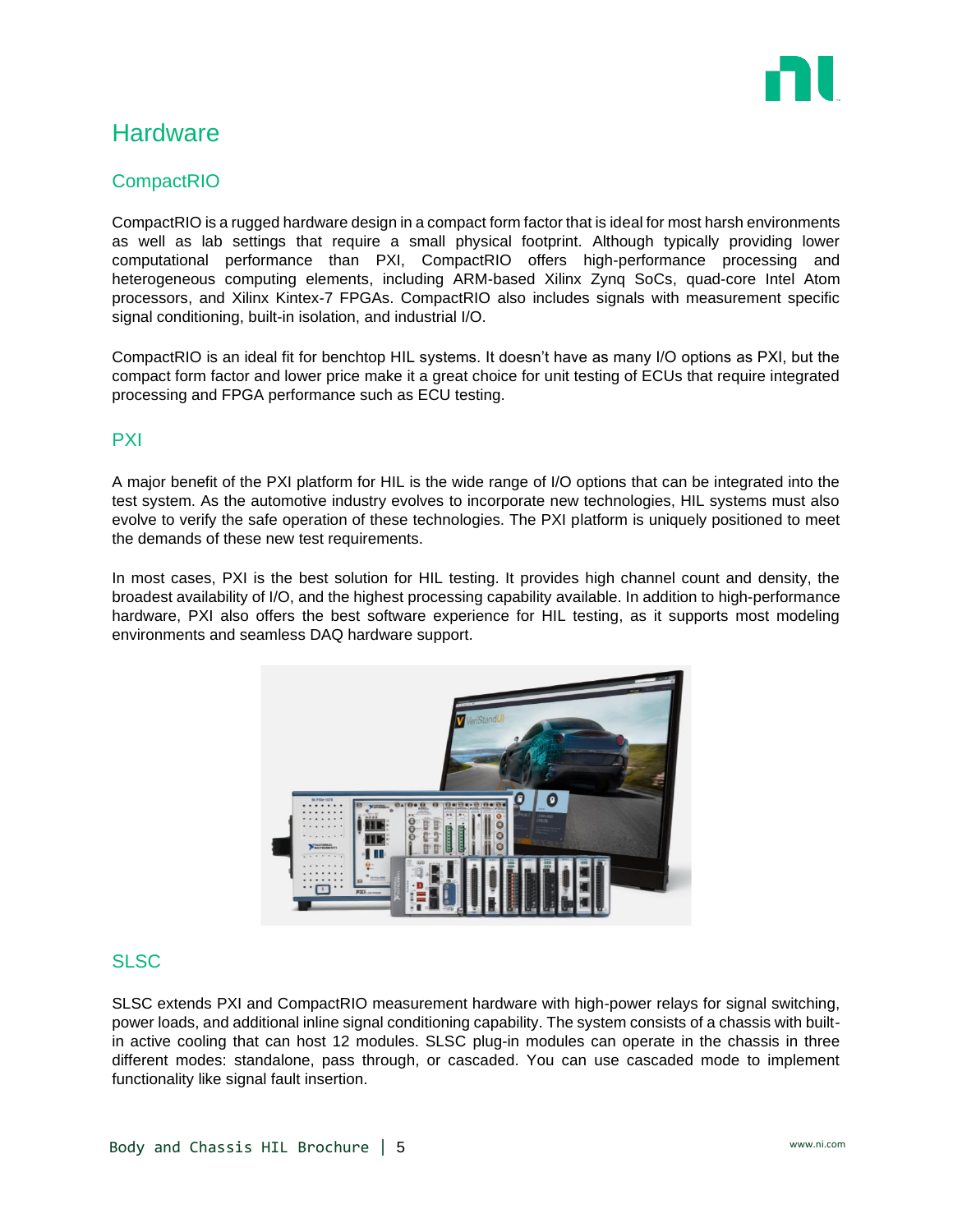

# **Hardware**

### **CompactRIO**

CompactRIO is a rugged hardware design in a compact form factor that is ideal for most harsh environments as well as lab settings that require a small physical footprint. Although typically providing lower computational performance than PXI, CompactRIO offers high-performance processing and heterogeneous computing elements, including ARM-based Xilinx Zynq SoCs, quad-core Intel Atom processors, and Xilinx Kintex-7 FPGAs. CompactRIO also includes signals with measurement specific signal conditioning, built-in isolation, and industrial I/O.

CompactRIO is an ideal fit for benchtop HIL systems. It doesn't have as many I/O options as PXI, but the compact form factor and lower price make it a great choice for unit testing of ECUs that require integrated processing and FPGA performance such as ECU testing.

### PXI

A major benefit of the PXI platform for HIL is the wide range of I/O options that can be integrated into the test system. As the automotive industry evolves to incorporate new technologies, HIL systems must also evolve to verify the safe operation of these technologies. The PXI platform is uniquely positioned to meet the demands of these new test requirements.

In most cases, PXI is the best solution for HIL testing. It provides high channel count and density, the broadest availability of I/O, and the highest processing capability available. In addition to high-performance hardware, PXI also offers the best software experience for HIL testing, as it supports most modeling environments and seamless DAQ hardware support.



### SLSC

SLSC extends PXI and CompactRIO measurement hardware with high-power relays for signal switching, power loads, and additional inline signal conditioning capability. The system consists of a chassis with builtin active cooling that can host 12 modules. SLSC plug-in modules can operate in the chassis in three different modes: standalone, pass through, or cascaded. You can use cascaded mode to implement functionality like signal fault insertion.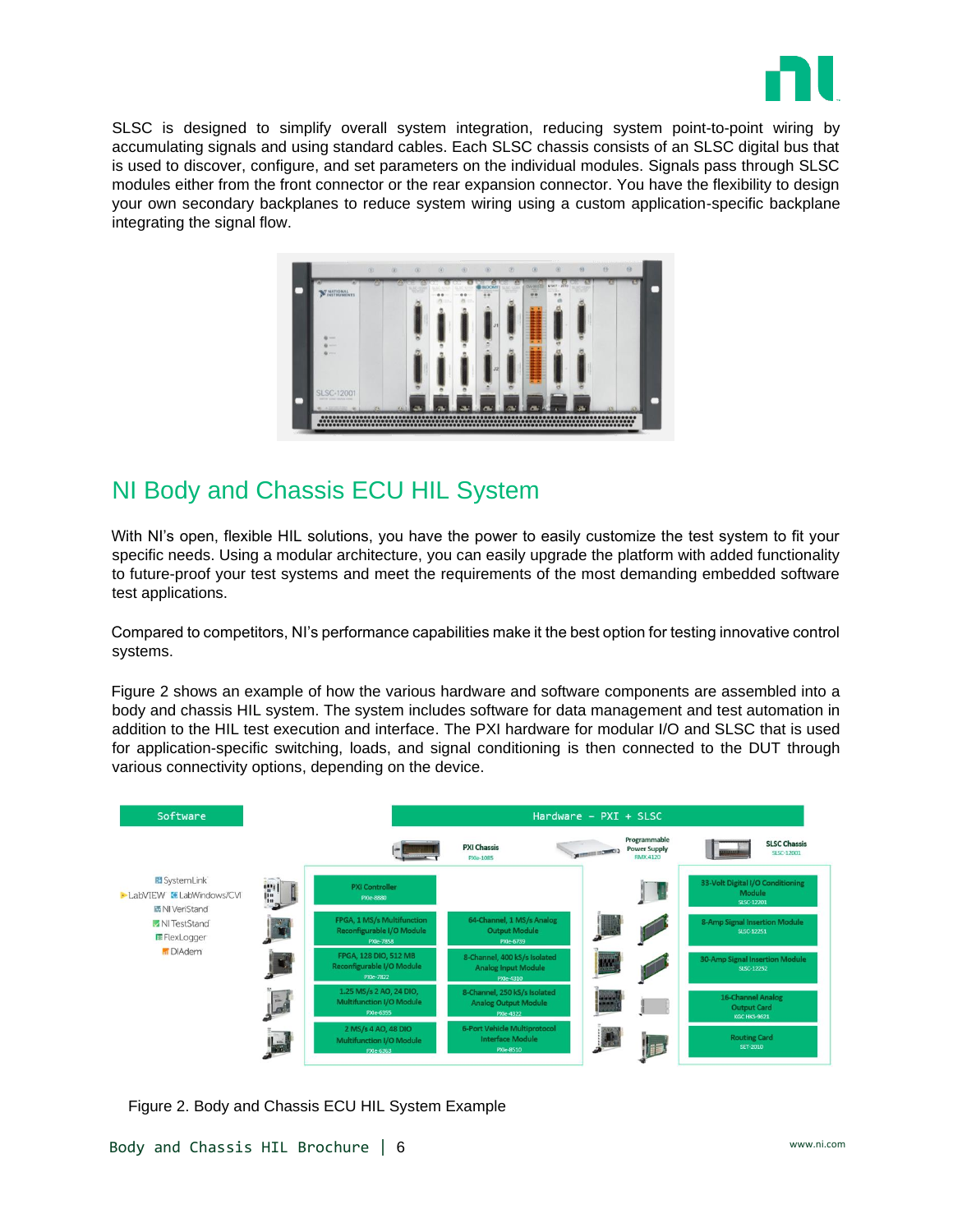

SLSC is designed to simplify overall system integration, reducing system point-to-point wiring by accumulating signals and using standard cables. Each SLSC chassis consists of an SLSC digital bus that is used to discover, configure, and set parameters on the individual modules. Signals pass through SLSC modules either from the front connector or the rear expansion connector. You have the flexibility to design your own secondary backplanes to reduce system wiring using a custom application-specific backplane integrating the signal flow.

|                                          |   |  | <b>NLOOMY</b>     | $\frac{dE_{\text{H}}}{dE_{\text{H}}}$ |        | WSKY<br>$-2916$<br>ma |  | 15 |
|------------------------------------------|---|--|-------------------|---------------------------------------|--------|-----------------------|--|----|
| MATIONAL THUMENTS                        |   |  | <br>$\frac{1}{2}$ |                                       | DN:300 |                       |  |    |
|                                          |   |  |                   |                                       |        |                       |  |    |
|                                          |   |  |                   |                                       |        |                       |  |    |
| ۰<br>$\sim$<br>$\sim$                    |   |  |                   |                                       |        |                       |  |    |
| <b>Britain</b>                           |   |  |                   |                                       |        |                       |  |    |
|                                          |   |  |                   |                                       |        |                       |  |    |
|                                          |   |  |                   |                                       |        |                       |  |    |
| SLSC-12001<br>warrior some mutus cities. |   |  |                   |                                       |        |                       |  |    |
|                                          | ö |  |                   | w<br>$\sim$                           |        |                       |  |    |

# NI Body and Chassis ECU HIL System

With NI's open, flexible HIL solutions, you have the power to easily customize the test system to fit your specific needs. Using a modular architecture, you can easily upgrade the platform with added functionality to future-proof your test systems and meet the requirements of the most demanding embedded software test applications.

Compared to competitors, NI's performance capabilities make it the best option for testing innovative control systems.

Figure 2 shows an example of how the various hardware and software components are assembled into a body and chassis HIL system. The system includes software for data management and test automation in addition to the HIL test execution and interface. The PXI hardware for modular I/O and SLSC that is used for application-specific switching, loads, and signal conditioning is then connected to the DUT through various connectivity options, depending on the device.



Figure 2. Body and Chassis ECU HIL System Example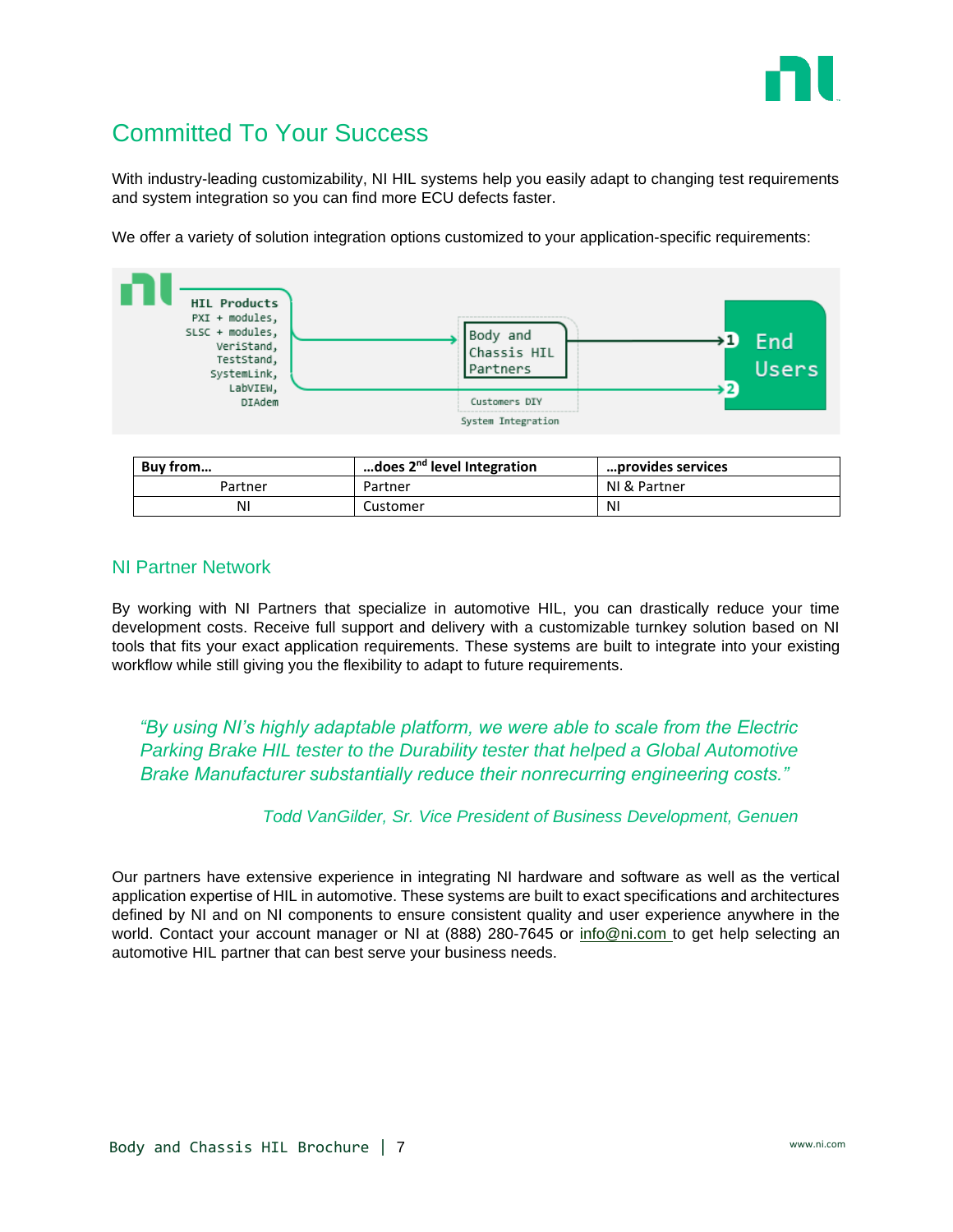

# Committed To Your Success

With industry-leading customizability, NI HIL systems help you easily adapt to changing test requirements and system integration so you can find more ECU defects faster.

We offer a variety of solution integration options customized to your application-specific requirements:



| Buy from | does 2 <sup>nd</sup> level Integration | …provides services |
|----------|----------------------------------------|--------------------|
| Partner  | Partner                                | NI & Partner       |
| N١       | Customer                               | ΝI                 |

### NI Partner Network

By working with NI Partners that specialize in automotive HIL, you can drastically reduce your time development costs. Receive full support and delivery with a customizable turnkey solution based on NI tools that fits your exact application requirements. These systems are built to integrate into your existing workflow while still giving you the flexibility to adapt to future requirements.

*"By using NI's highly adaptable platform, we were able to scale from the Electric Parking Brake HIL tester to the Durability tester that helped a Global Automotive Brake Manufacturer substantially reduce their nonrecurring engineering costs."*

### *Todd VanGilder, Sr. Vice President of Business Development, Genuen*

Our partners have extensive experience in integrating NI hardware and software as well as the vertical application expertise of HIL in automotive. These systems are built to exact specifications and architectures defined by NI and on NI components to ensure consistent quality and user experience anywhere in the world. Contact your account manager or NI at (888) 280-7645 or [info@ni.com](mailto:info@ni.com) to get help selecting an automotive HIL partner that can best serve your business needs.